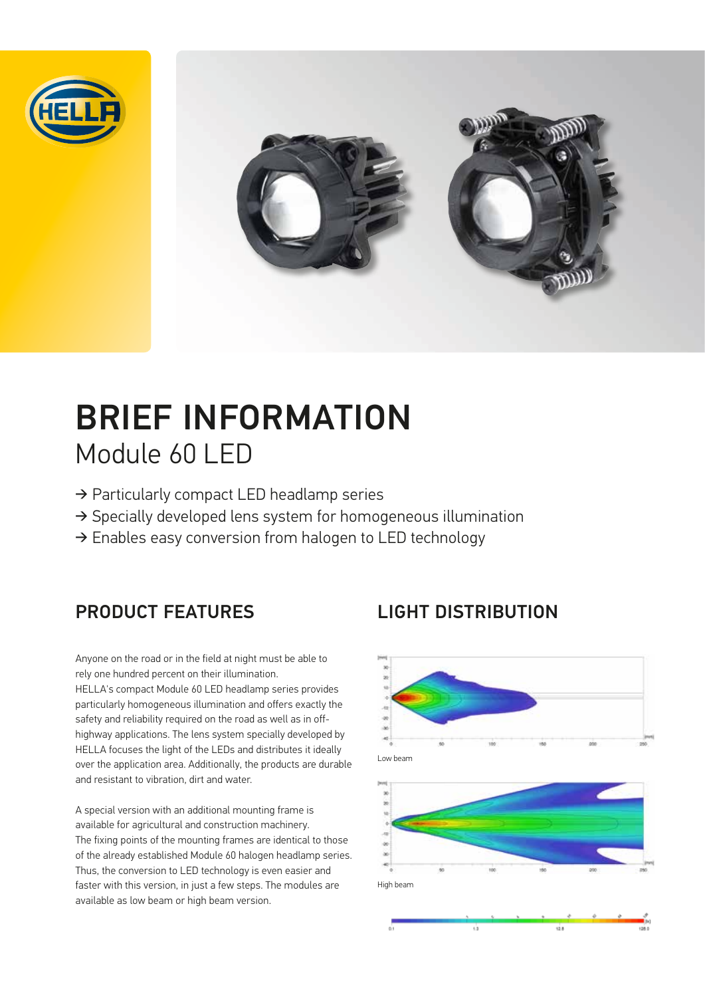



# BRIEF INFORMATION Module 60 LED

- ➔ Particularly compact LED headlamp series
- ➔ Specially developed lens system for homogeneous illumination
- ➔ Enables easy conversion from halogen to LED technology

Anyone on the road or in the field at night must be able to rely one hundred percent on their illumination. HELLA's compact Module 60 LED headlamp series provides particularly homogeneous illumination and offers exactly the safety and reliability required on the road as well as in offhighway applications. The lens system specially developed by HELLA focuses the light of the LEDs and distributes it ideally over the application area. Additionally, the products are durable and resistant to vibration, dirt and water.

A special version with an additional mounting frame is available for agricultural and construction machinery. The fixing points of the mounting frames are identical to those of the already established Module 60 halogen headlamp series. Thus, the conversion to LED technology is even easier and faster with this version, in just a few steps. The modules are available as low beam or high beam version.

## PRODUCT FEATURES LIGHT DISTRIBUTION